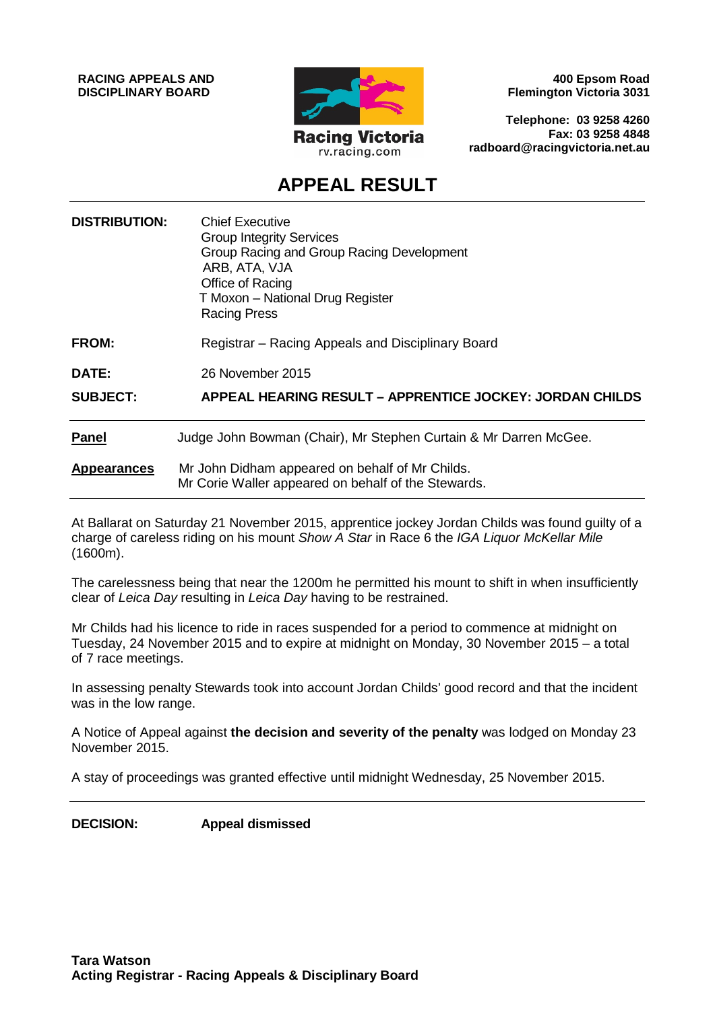**RACING APPEALS AND DISCIPLINARY BOARD**



**400 Epsom Road Flemington Victoria 3031**

**Telephone: 03 9258 4260 Fax: 03 9258 4848 radboard@racingvictoria.net.au**

# **APPEAL RESULT**

| <b>DISTRIBUTION:</b> | <b>Chief Executive</b><br><b>Group Integrity Services</b><br>Group Racing and Group Racing Development<br>ARB, ATA, VJA<br>Office of Racing<br>T Moxon - National Drug Register<br><b>Racing Press</b> |
|----------------------|--------------------------------------------------------------------------------------------------------------------------------------------------------------------------------------------------------|
| <b>FROM:</b>         | Registrar – Racing Appeals and Disciplinary Board                                                                                                                                                      |
| DATE:                | 26 November 2015                                                                                                                                                                                       |
| <b>SUBJECT:</b>      | APPEAL HEARING RESULT – APPRENTICE JOCKEY: JORDAN CHILDS                                                                                                                                               |
| <b>Panel</b>         | Judge John Bowman (Chair), Mr Stephen Curtain & Mr Darren McGee.                                                                                                                                       |
| <b>Appearances</b>   | Mr John Didham appeared on behalf of Mr Childs.<br>Mr Corie Waller appeared on behalf of the Stewards.                                                                                                 |

At Ballarat on Saturday 21 November 2015, apprentice jockey Jordan Childs was found guilty of a charge of careless riding on his mount *Show A Star* in Race 6 the *IGA Liquor McKellar Mile* (1600m).

The carelessness being that near the 1200m he permitted his mount to shift in when insufficiently clear of *Leica Day* resulting in *Leica Day* having to be restrained.

Mr Childs had his licence to ride in races suspended for a period to commence at midnight on Tuesday, 24 November 2015 and to expire at midnight on Monday, 30 November 2015 – a total of 7 race meetings.

In assessing penalty Stewards took into account Jordan Childs' good record and that the incident was in the low range.

A Notice of Appeal against **the decision and severity of the penalty** was lodged on Monday 23 November 2015.

A stay of proceedings was granted effective until midnight Wednesday, 25 November 2015.

**DECISION: Appeal dismissed**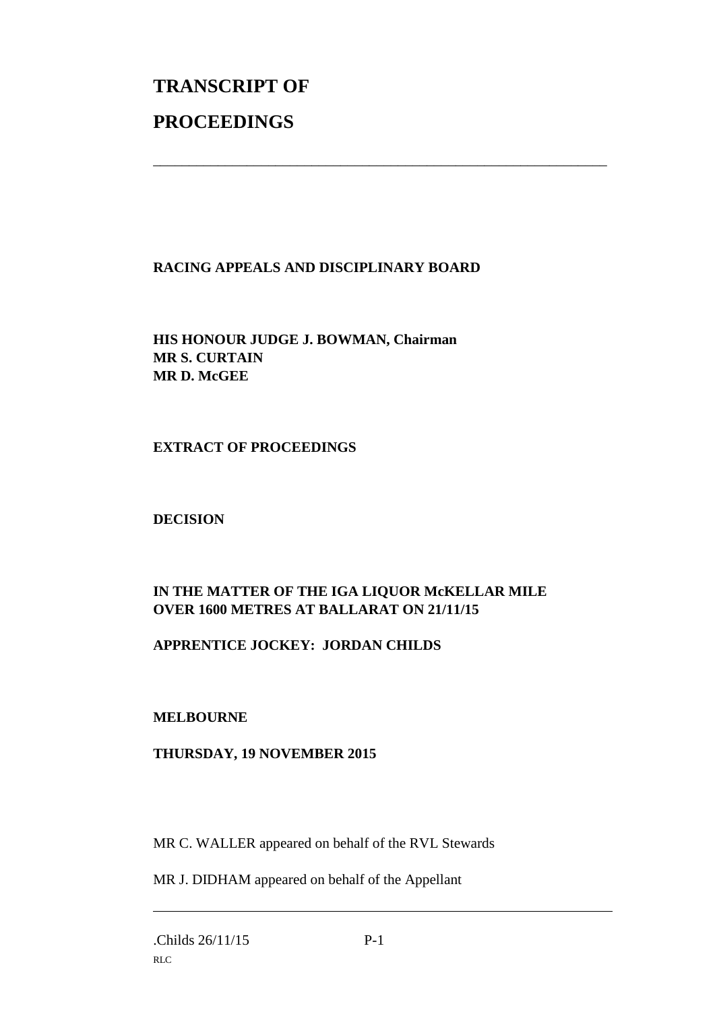# **TRANSCRIPT OF PROCEEDINGS**

# **RACING APPEALS AND DISCIPLINARY BOARD**

\_\_\_\_\_\_\_\_\_\_\_\_\_\_\_\_\_\_\_\_\_\_\_\_\_\_\_\_\_\_\_\_\_\_\_\_\_\_\_\_\_\_\_\_\_\_\_\_\_\_\_\_\_\_\_\_\_\_\_\_\_\_\_

**HIS HONOUR JUDGE J. BOWMAN, Chairman MR S. CURTAIN MR D. McGEE**

**EXTRACT OF PROCEEDINGS**

**DECISION**

# **IN THE MATTER OF THE IGA LIQUOR McKELLAR MILE OVER 1600 METRES AT BALLARAT ON 21/11/15**

# **APPRENTICE JOCKEY: JORDAN CHILDS**

# **MELBOURNE**

# **THURSDAY, 19 NOVEMBER 2015**

MR C. WALLER appeared on behalf of the RVL Stewards

MR J. DIDHAM appeared on behalf of the Appellant